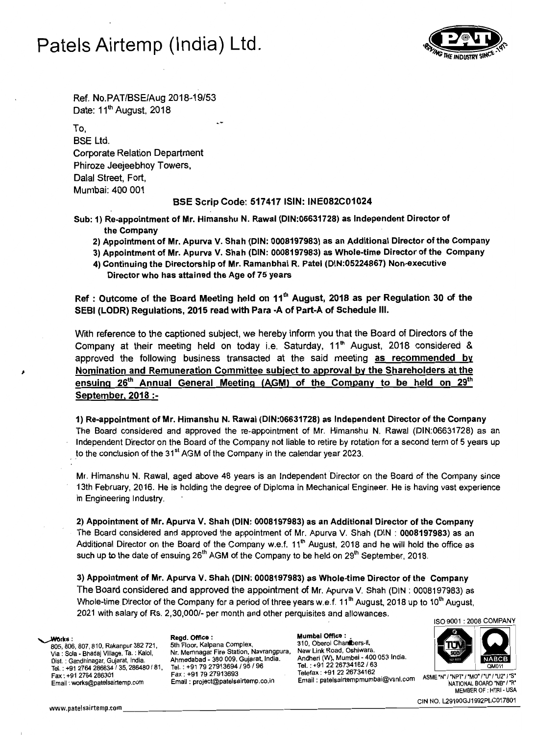# **Patels Airtemp (India) Ltd.**



Ref. No.PAT/BSE/Aug 2018-19/53 Date: 11<sup>th</sup> August, 2018

To, BSE Ltd. Corporate Relation Department Phiroze Jeejeebhoy Towers, Dalal Street, Fort, Mumbai: 400 001

### **BSE Scrip Code: 517417 ISIN: INE082C01024**

Sub: 1) Re-appointment of Mr. Himanshu N. Rawal (DIN:06631728) as Independent Director of the Company

- 2) Appointment of Mr. Apurva V. Shah (DIN: 0008197983) as an Additional Director of the Company
- 3) Appointment of Mr. Apurva V. Shah (DIN: 0008197983) as Whole-time Director of the Company
- 4) Continuing the Directorship of Mr. Ramanbhai R. Patel (DIN:05224867) Non-executive Director who has attained the Age of 75 years

Ref: Outcome of the Board Meeting held on  $11<sup>th</sup>$  August, 2018 as per Regulation 30 of the SEBI (LODR) Regulations, 2015 read with Para -A of Part-A of Schedule III.

With reference to the captioned subject, we hereby inform you that the Board of Directors of the Company at their meeting held on today i.e. Saturday,  $11<sup>th</sup>$  August, 2018 considered & approved the following business transacted at the said meeting as recommended by Nomination and Remuneration Committee subject to approval by the Shareholders at the ensuing  $26<sup>th</sup>$  Annual General Meeting (AGM) of the Company to be held on  $29<sup>th</sup>$ September. 2018 :

1) Re-appointment of Mr. Himanshu N. Rawal (DIN:06631728) as Independent Director of the Company The Board considered and approved the re-appointment of Mr. Himanshu N. Rawal (DIN:06631728) as an Independent Director on the Board of the Company not liable to retire by rotation for a second term of 5 years up to the conclusion of the  $31<sup>st</sup> AGM$  of the Company in the calendar year 2023.

Mr. Himanshu N. Rawal, aged above 48 years is an Independent Director on the Board of the Company since 13th February, 2016. He is holding the degree of Diploma in Mechanical Engineer. He is having vast experience in Engineering Industry.

2) Appointment of Mr. Apurva V. Shah (DIN: 0008197983) as an Additional Director of the Company The Board considered and approved the appointment of Mr. Apurva V. Shah (DIN: 0008197983) as an Additional Director on the Board of the Company w.e.f.  $11<sup>th</sup>$  August, 2018 and he will hold the office as such up to the date of ensuing  $26<sup>th</sup>$  AGM of the Company to be held on  $29<sup>th</sup>$  September, 2018.

3) Appointment of Mr. Apurva V. Shah (DIN: 0008197983) as Whole-time Director of the Company The Board considered and approved the appointment of Mr. Apurva V. Shah (DIN: 0008197983) as Whole-time Director of the Company for a period of three years w.e.f. 11<sup>th</sup> August, 2018 up to 10<sup>th</sup> August, 2021 with salary of Rs. 2,30,0001- per month and other perquisites and allowances.

Email: works@patelsairtemp.com

New Link Road, Oshiwara. Via: Sola - Bhadaj Village, Ta. : Kalol, Nr. Memnagar Fire Station, Navrangpura, Andheri (W), Mumbai - 400 053 India. Disl. : Gandhinagar, Gujarat, India. Ahmedabad - 380 009. Gujarat, India. Tel. : +91 *2226734162/63* Tel. : +91 2764 286634 / 35, 286480 I 81, Tel. : +91 79 *27913694/95 196* Fax: +91 79 27913693<br>Email: project@patelsairtemp.co.in

Mumbai Office: • 310. Oberoi Chanbers-II, Works: Regd. Office: Mumbal Office:<br>805, 806, 807, 810, Rakanpur 382 721, 5th Floor, Kalpana Complex, 310, Oberoi Chan bers-II, 310, Oberoi Chan Telefax: +91 22 26734162<br>Email : patelsairtempmumbai@vsnl.com ASME 'N' / 'NATIONAL ROARD 'NR' /'R'





MEMBER OF : HTRI- USA CIN NO.l29190GJ1992PLC017801 www.patelsairtemp.com \_\_\_\_\_\_\_\_\_\_\_\_\_\_\_\_\_\_\_\_\_\_\_\_\_\_\_\_\_\_\_\_\_--